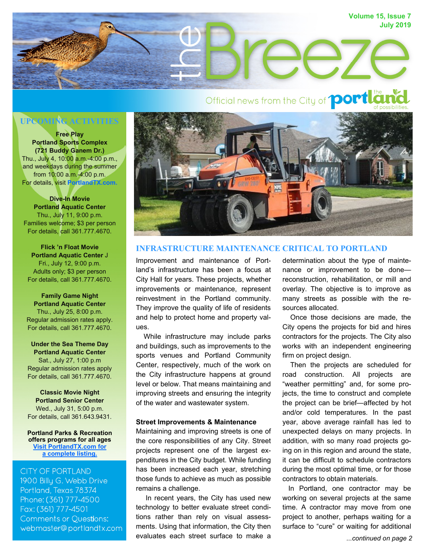

# **UPCOMING ACTIVITIES**

**Free Play Portland Sports Complex (721 Buddy Ganem Dr.)**  Thu., July 4, 10:00 a.m.-4:00 p.m., and weekdays during the summer from 10:00 a.m.-4:00 p.m. For details, visit **[PortlandTX.com.](http://www.portlandtx.com/calendar.aspx?CID=14,24,21,22,)** 

**Dive-In Movie Portland Aquatic Center**  Thu., July 11, 9:00 p.m. Families welcome; \$3 per person For details, call 361.777.4670.

**Flick 'n Float Movie Portland Aquatic Center** J Fri., July 12, 9:00 p.m. Adults only; \$3 per person For details, call 361.777.4670.

**Family Game Night Portland Aquatic Center**  Thu., July 25, 8:00 p.m. Regular admission rates apply. For details, call 361.777.4670.

**Under the Sea Theme Day Portland Aquatic Center**  Sat., July 27, 1:00 p.m Regular admission rates apply For details, call 361.777.4670.

**Classic Movie Night Portland Senior Center**  Wed., July 31, 5:00 p.m. For details, call 361.643.9431.

**Portland Parks & Recreation offers programs for all ages [Visit PortlandTX.com for](http://www.portlandtx.com/126/Parks-Recreation)  a complete listing.** 

**CITY OF PORTLAND** 1900 Billy G. Webb Drive Portland, Texas 78374 Phone: (361) 777-4500 Fax: (361) 777-4501 **Comments or Questions:** webmaster@portlandtx.com



## **INFRASTRUCTURE MAINTENANCE CRITICAL TO PORTLAND**

Improvement and maintenance of Portland's infrastructure has been a focus at City Hall for years. These projects, whether improvements or maintenance, represent reinvestment in the Portland community. They improve the quality of life of residents and help to protect home and property values.

 While infrastructure may include parks and buildings, such as improvements to the sports venues and Portland Community Center, respectively, much of the work on the City infrastructure happens at ground level or below. That means maintaining and improving streets and ensuring the integrity of the water and wastewater system.

### **Street Improvements & Maintenance**

Maintaining and improving streets is one of the core responsibilities of any City. Street projects represent one of the largest expenditures in the City budget. While funding has been increased each year, stretching those funds to achieve as much as possible remains a challenge.

 In recent years, the City has used new technology to better evaluate street conditions rather than rely on visual assessments. Using that information, the City then evaluates each street surface to make a

determination about the type of maintenance or improvement to be done reconstruction, rehabilitation, or mill and overlay. The objective is to improve as many streets as possible with the resources allocated.

 Once those decisions are made, the City opens the projects for bid and hires contractors for the projects. The City also works with an independent engineering firm on project design.

 Then the projects are scheduled for road construction. All projects are "weather permitting" and, for some projects, the time to construct and complete the project can be brief—affected by hot and/or cold temperatures. In the past year, above average rainfall has led to unexpected delays on many projects. In addition, with so many road projects going on in this region and around the state, it can be difficult to schedule contractors during the most optimal time, or for those contractors to obtain materials.

 In Portland, one contractor may be working on several projects at the same time. A contractor may move from one project to another, perhaps waiting for a surface to "cure" or waiting for additional